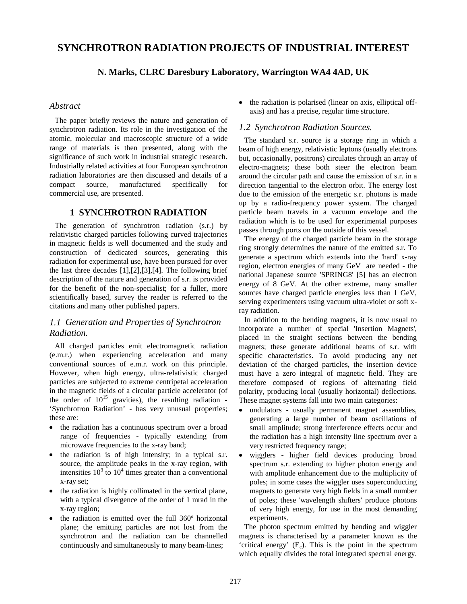# **SYNCHROTRON RADIATION PROJECTS OF INDUSTRIAL INTEREST**

## **N. Marks, CLRC Daresbury Laboratory, Warrington WA4 4AD, UK**

## *Abstract*

The paper briefly reviews the nature and generation of synchrotron radiation. Its role in the investigation of the atomic, molecular and macroscopic structure of a wide range of materials is then presented, along with the significance of such work in industrial strategic research. Industrially related activities at four European synchrotron radiation laboratories are then discussed and details of a compact source, manufactured specifically for commercial use, are presented.

## **1 SYNCHROTRON RADIATION**

The generation of synchrotron radiation (s.r.) by relativistic charged particles following curved trajectories in magnetic fields is well documented and the study and construction of dedicated sources, generating this radiation for experimental use, have been pursued for over the last three decades [1],[2],[3],[4]. The following brief description of the nature and generation of s.r. is provided for the benefit of the non-specialist; for a fuller, more scientifically based, survey the reader is referred to the citations and many other published papers.

## *1.1 Generation and Properties of Synchrotron Radiation.*

All charged particles emit electromagnetic radiation (e.m.r.) when experiencing acceleration and many conventional sources of e.m.r. work on this principle. However, when high energy, ultra-relativistic charged particles are subjected to extreme centripetal acceleration in the magnetic fields of a circular particle accelerator (of the order of  $10^{15}$  gravities), the resulting radiation -'Synchrotron Radiation' - has very unusual properties; these are:

- · the radiation has a continuous spectrum over a broad range of frequencies - typically extending from microwave frequencies to the x-ray band;
- · the radiation is of high intensity; in a typical s.r. source, the amplitude peaks in the x-ray region, with intensities  $10^3$  to  $10^4$  times greater than a conventional x-ray set;
- · the radiation is highly collimated in the vertical plane, with a typical divergence of the order of 1 mrad in the x-ray region;
- · the radiation is emitted over the full 360º horizontal plane; the emitting particles are not lost from the synchrotron and the radiation can be channelled continuously and simultaneously to many beam-lines;

· the radiation is polarised (linear on axis, elliptical offaxis) and has a precise, regular time structure.

## *1.2 Synchrotron Radiation Sources.*

The standard s.r. source is a storage ring in which a beam of high energy, relativistic leptons (usually electrons but, occasionally, positrons) circulates through an array of electro-magnets; these both steer the electron beam around the circular path and cause the emission of s.r. in a direction tangential to the electron orbit. The energy lost due to the emission of the energetic s.r. photons is made up by a radio-frequency power system. The charged particle beam travels in a vacuum envelope and the radiation which is to be used for experimental purposes passes through ports on the outside of this vessel.

The energy of the charged particle beam in the storage ring strongly determines the nature of the emitted s.r. To generate a spectrum which extends into the 'hard' x-ray region, electron energies of many GeV are needed - the national Japanese source 'SPRING8' [5] has an electron energy of 8 GeV. At the other extreme, many smaller sources have charged particle energies less than 1 GeV, serving experimenters using vacuum ultra-violet or soft xray radiation.

In addition to the bending magnets, it is now usual to incorporate a number of special 'Insertion Magnets', placed in the straight sections between the bending magnets; these generate additional beams of s.r. with specific characteristics. To avoid producing any net deviation of the charged particles, the insertion device must have a zero integral of magnetic field. They are therefore composed of regions of alternating field polarity, producing local (usually horizontal) deflections. These magnet systems fall into two main categories:

- · undulators - usually permanent magnet assemblies, generating a large number of beam oscillations of small amplitude; strong interference effects occur and the radiation has a high intensity line spectrum over a very restricted frequency range;
- wigglers higher field devices producing broad spectrum s.r. extending to higher photon energy and with amplitude enhancement due to the multiplicity of poles; in some cases the wiggler uses superconducting magnets to generate very high fields in a small number of poles; these 'wavelength shifters' produce photons of very high energy, for use in the most demanding experiments.

The photon spectrum emitted by bending and wiggler magnets is characterised by a parameter known as the 'critical energy'  $(E_c)$ . This is the point in the spectrum which equally divides the total integrated spectral energy.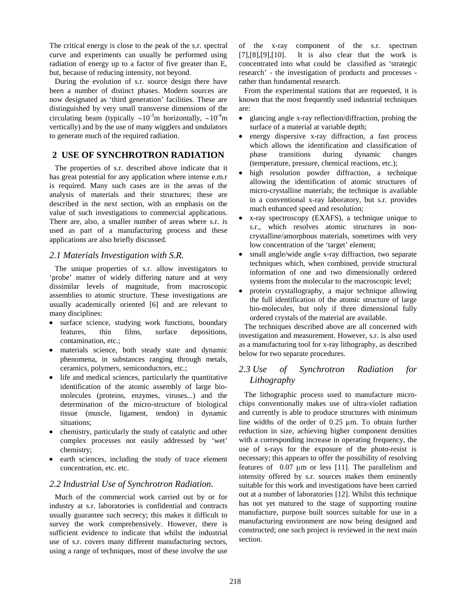The critical energy is close to the peak of the s.r. spectral curve and experiments can usually be performed using radiation of energy up to a factor of five greater than  $E_c$ but, because of reducing intensity, not beyond.

During the evolution of s.r. source design there have been a number of distinct phases. Modern sources are now designated as 'third generation' facilities. These are distinguished by very small transverse dimensions of the circulating beam (typically  $\sim 10^{-3}$ m horizontally,  $\sim 10^{-4}$ m vertically) and by the use of many wigglers and undulators to generate much of the required radiation.

## **2 USE OF SYNCHROTRON RADIATION**

The properties of s.r. described above indicate that it has great potential for any application where intense e.m.r is required. Many such cases are in the areas of the analysis of materials and their structures; these are described in the next section, with an emphasis on the value of such investigations to commercial applications. There are, also, a smaller number of areas where s.r. is used as part of a manufacturing process and these applications are also briefly discussed.

#### *2.1 Materials Investigation with S.R.*

The unique properties of s.r. allow investigators to 'probe' matter of widely differing nature and at very dissimilar levels of magnitude, from macroscopic assemblies to atomic structure. These investigations are usually academically oriented [6] and are relevant to many disciplines:

- surface science, studying work functions, boundary features, thin films, surface depositions, contamination, etc.;
- · materials science, both steady state and dynamic phenomena, in substances ranging through metals, ceramics, polymers, semiconductors, etc.;
- life and medical sciences, particularly the quantitative identification of the atomic assembly of large biomolecules (proteins, enzymes, viruses...) and the determination of the micro-structure of biological tissue (muscle, ligament, tendon) in dynamic situations;
- chemistry, particularly the study of catalytic and other complex processes not easily addressed by 'wet' chemistry;
- earth sciences, including the study of trace element concentration, etc. etc.

#### *2.2 Industrial Use of Synchrotron Radiation.*

Much of the commercial work carried out by or for industry at s.r. laboratories is confidential and contracts usually guarantee such secrecy; this makes it difficult to survey the work comprehensively. However, there is sufficient evidence to indicate that whilst the industrial use of s.r. covers many different manufacturing sectors, using a range of techniques, most of these involve the use

of the x-ray component of the s.r. spectrum  $[7],[8],[9],[10]$ . It is also clear that the work is concentrated into what could be classified as 'strategic research' - the investigation of products and processes rather than fundamental research.

From the experimental stations that are requested, it is known that the most frequently used industrial techniques are:

- · glancing angle x-ray reflection/diffraction, probing the surface of a material at variable depth;
- energy dispersive x-ray diffraction, a fast process which allows the identification and classification of phase transitions during dynamic changes (temperature, pressure, chemical reactions, etc.);
- high resolution powder diffraction, a technique allowing the identification of atomic structures of micro-crystalline materials; the technique is available in a conventional x-ray laboratory, but s.r. provides much enhanced speed and resolution;
- · x-ray spectroscopy (EXAFS), a technique unique to s.r., which resolves atomic structures in noncrystalline/amorphous materials, sometimes with very low concentration of the 'target' element;
- small angle/wide angle x-ray diffraction, two separate techniques which, when combined, provide structural information of one and two dimensionally ordered systems from the molecular to the macroscopic level;
- protein crystallography, a major technique allowing the full identification of the atomic structure of large bio-molecules, but only if three dimensional fully ordered crystals of the material are available.

The techniques described above are all concerned with investigation and measurement. However, s.r. is also used as a manufacturing tool for x-ray lithography, as described below for two separate procedures.

## *2.3 Use of Synchrotron Radiation for Lithography*

The lithographic process used to manufacture microchips conventionally makes use of ultra-violet radiation and currently is able to produce structures with minimum line widths of the order of  $0.25 \mu m$ . To obtain further reduction in size, achieving higher component densities with a corresponding increase in operating frequency, the use of x-rays for the exposure of the photo-resist is necessary; this appears to offer the possibility of resolving features of  $0.07 \mu m$  or less [11]. The parallelism and intensity offered by s.r. sources makes them eminently suitable for this work and investigations have been carried out at a number of laboratories [12]. Whilst this technique has not yet matured to the stage of supporting routine manufacture, purpose built sources suitable for use in a manufacturing environment are now being designed and constructed; one such project is reviewed in the next main section.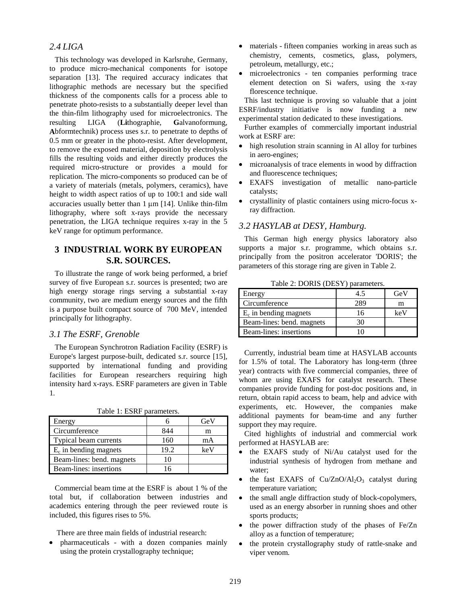## *2.4 LIGA*

This technology was developed in Karlsruhe, Germany, to produce micro-mechanical components for isotope separation [13]. The required accuracy indicates that lithographic methods are necessary but the specified thickness of the components calls for a process able to penetrate photo-resists to a substantially deeper level than the thin-film lithography used for microelectronics. The resulting LIGA (**Li**thographie, **G**alvanoformung, **A**bformtechnik) process uses s.r. to penetrate to depths of 0.5 mm or greater in the photo-resist. After development, to remove the exposed material, deposition by electrolysis fills the resulting voids and either directly produces the required micro-structure or provides a mould for replication. The micro-components so produced can be of a variety of materials (metals, polymers, ceramics), have height to width aspect ratios of up to 100:1 and side wall accuracies usually better than  $1 \mu m$  [14]. Unlike thin-film lithography, where soft x-rays provide the necessary penetration, the LIGA technique requires x-ray in the 5 keV range for optimum performance.

## **3 INDUSTRIAL WORK BY EUROPEAN S.R. SOURCES.**

To illustrate the range of work being performed, a brief survey of five European s.r. sources is presented; two are high energy storage rings serving a substantial x-ray community, two are medium energy sources and the fifth is a purpose built compact source of 700 MeV, intended principally for lithography.

#### *3.1 The ESRF, Grenoble*

The European Synchrotron Radiation Facility (ESRF) is Europe's largest purpose-built, dedicated s.r. source [15], supported by international funding and providing facilities for European researchers requiring high intensity hard x-rays. ESRF parameters are given in Table 1*.*

| Energy                    |         | GeV |
|---------------------------|---------|-----|
| Circumference             | 844     |     |
| Typical beam currents     | $160 -$ | mA  |
| $E_c$ in bending magnets  | 19.2    | keV |
| Beam-lines: bend. magnets |         |     |
| Beam-lines: insertions    |         |     |

Table 1: ESRF parameters.

Commercial beam time at the ESRF is about 1 % of the total but, if collaboration between industries and academics entering through the peer reviewed route is included, this figures rises to 5%.

There are three main fields of industrial research:

· pharmaceuticals - with a dozen companies mainly using the protein crystallography technique;

- materials fifteen companies working in areas such as chemistry, cements, cosmetics, glass, polymers, petroleum, metallurgy, etc.;
- · microelectronics ten companies performing trace element detection on Si wafers, using the x-ray florescence technique.

This last technique is proving so valuable that a joint ESRF/industry initiative is now funding a new experimental station dedicated to these investigations.

Further examples of commercially important industrial work at ESRF are:

- high resolution strain scanning in Al alloy for turbines in aero-engines;
- · microanalysis of trace elements in wood by diffraction and fluorescence techniques:
- EXAFS investigation of metallic nano-particle catalysts;
- · crystallinity of plastic containers using micro-focus xray diffraction.

## *3.2 HASYLAB at DESY, Hamburg.*

This German high energy physics laboratory also supports a major s.r. programme, which obtains s.r. principally from the positron accelerator 'DORIS'; the parameters of this storage ring are given in Table 2.

Table 2: DORIS (DESY) parameters.

| Energy                    |    | GeV |
|---------------------------|----|-----|
| Circumference             |    | m   |
| $E_c$ in bending magnets  | 16 | keV |
| Beam-lines: bend. magnets |    |     |
| Beam-lines: insertions    |    |     |

Currently, industrial beam time at HASYLAB accounts for 1.5% of total. The Laboratory has long-term (three year) contracts with five commercial companies, three of whom are using EXAFS for catalyst research. These companies provide funding for post-doc positions and, in return, obtain rapid access to beam, help and advice with experiments, etc. However, the companies make additional payments for beam-time and any further support they may require.

Cited highlights of industrial and commercial work performed at HASYLAB are:

- · the EXAFS study of Ni/Au catalyst used for the industrial synthesis of hydrogen from methane and water;
- the fast EXAFS of  $Cu/ZnO/Al_2O_3$  catalyst during temperature variation;
- the small angle diffraction study of block-copolymers, used as an energy absorber in running shoes and other sports products;
- the power diffraction study of the phases of Fe/Zn alloy as a function of temperature;
- the protein crystallography study of rattle-snake and viper venom.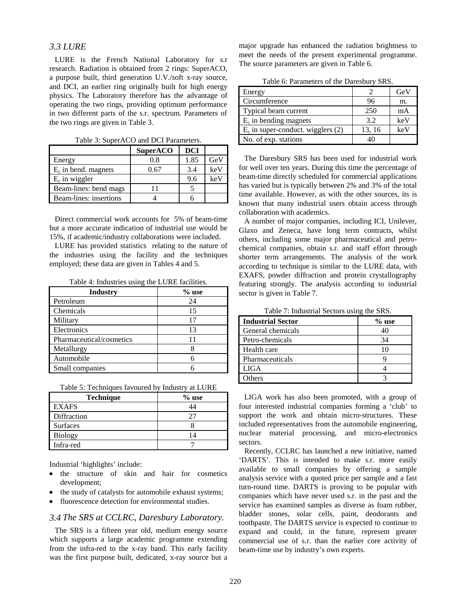#### *3.3 LURE*

LURE is the French National Laboratory for s.r research. Radiation is obtained from 2 rings: SuperACO, a purpose built, third generation U.V./soft x-ray source, and DCI, an earlier ring originally built for high energy physics. The Laboratory therefore has the advantage of operating the two rings, providing optimum performance in two different parts of the s.r. spectrum. Parameters of the two rings are given in Table 3.

|                        | <b>SuperACO</b> | <b>DCI</b> |     |
|------------------------|-----------------|------------|-----|
| Energy                 | 0.8             | 1.85       | GeV |
| $E_c$ in bend. magnets | 0.67            | 3.4        | keV |
| $E_c$ in wiggler       |                 | 9.6        | keV |
| Beam-lines: bend mags  | 11              |            |     |
| Beam-lines: insertions |                 |            |     |

Table 3: SuperACO and DCI Parameters.

Direct commercial work accounts for 5% of beam-time but a more accurate indication of industrial use would be 15%, if academic/industry collaborations were included.

LURE has provided statistics relating to the nature of the industries using the facility and the techniques employed; these data are given in Tables 4 and 5.

Table 4: Industries using the LURE facilities.

| <b>Industry</b>          | $%$ use |
|--------------------------|---------|
| Petroleum                | 24      |
| Chemicals                | 15      |
| Military                 | 17      |
| Electronics              | 13      |
| Pharmaceutical/cosmetics |         |
| Metallurgy               |         |
| Automobile               |         |
| Small companies          |         |

|  |  |  | Table 5: Techniques favoured by Industry at LURE |
|--|--|--|--------------------------------------------------|
|  |  |  |                                                  |

| <b>Technique</b> | $%$ use |
|------------------|---------|
| <b>EXAFS</b>     |         |
| Diffraction      |         |
| <b>Surfaces</b>  |         |
| <b>Biology</b>   | 14      |
| Infra-red        |         |

Industrial 'highlights' include:

- the structure of skin and hair for cosmetics development;
- ·the study of catalysts for automobile exhaust systems;
- ·fluorescence detection for environmental studies.

### *3.4 The SRS at CCLRC, Daresbury Laboratory.*

The SRS is a fifteen year old, medium energy source which supports a large academic programme extending from the infra-red to the x-ray band. This early facility was the first purpose built, dedicated, x-ray source but a

major upgrade has enhanced the radiation brightness to meet the needs of the present experimental programme. The source parameters are given in Table 6.

Table 6: Parameters of the Daresbury SRS.

| Energy                               |        | GeV |
|--------------------------------------|--------|-----|
| Circumference                        | 96     | m.  |
| Typical beam current                 | 250    | mA  |
| $E_c$ in bending magnets             | 3.2    | keV |
| $E_c$ in super-conduct. wigglers (2) | 13, 16 | keV |
| No. of exp. stations                 |        |     |

The Daresbury SRS has been used for industrial work for well over ten years. During this time the percentage of beam-time directly scheduled for commercial applications has varied but is typically between 2% and 3% of the total time available. However, as with the other sources, its is known that many industrial users obtain access through collaboration with academics.

A number of major companies, including ICI, Unilever, Glaxo and Zeneca, have long term contracts, whilst others, including some major pharmaceutical and petrochemical companies, obtain s.r. and staff effort through shorter term arrangements. The analysis of the work according to technique is similar to the LURE data, with EXAFS, powder diffraction and protein crystallography featuring strongly. The analysis according to industrial sector is given in Table 7.

| <b>Industrial Sector</b> | $%$ use |
|--------------------------|---------|
| General chemicals        | 40      |
| Petro-chemicals          | 34      |
| Health care              | 10      |
| Pharmaceuticals          |         |
| <b>LIGA</b>              |         |
| <b>Others</b>            |         |

Table 7: Industrial Sectors using the SRS.

LIGA work has also been promoted, with a group of four interested industrial companies forming a 'club' to support the work and obtain micro-structures. These included representatives from the automobile engineering, nuclear material processing, and micro-electronics sectors.

Recently, CCLRC has launched a new initiative, named 'DARTS'. This is intended to make s.r. more easily available to small companies by offering a sample analysis service with a quoted price per sample and a fast turn-round time. DARTS is proving to be popular with companies which have never used s.r. in the past and the service has examined samples as diverse as foam rubber, bladder stones, solar cells, paint, deodorants and toothpaste. The DARTS service is expected to continue to expand and could, in the future, represent greater commercial use of s.r. than the earlier core activity of beam-time use by industry's own experts.